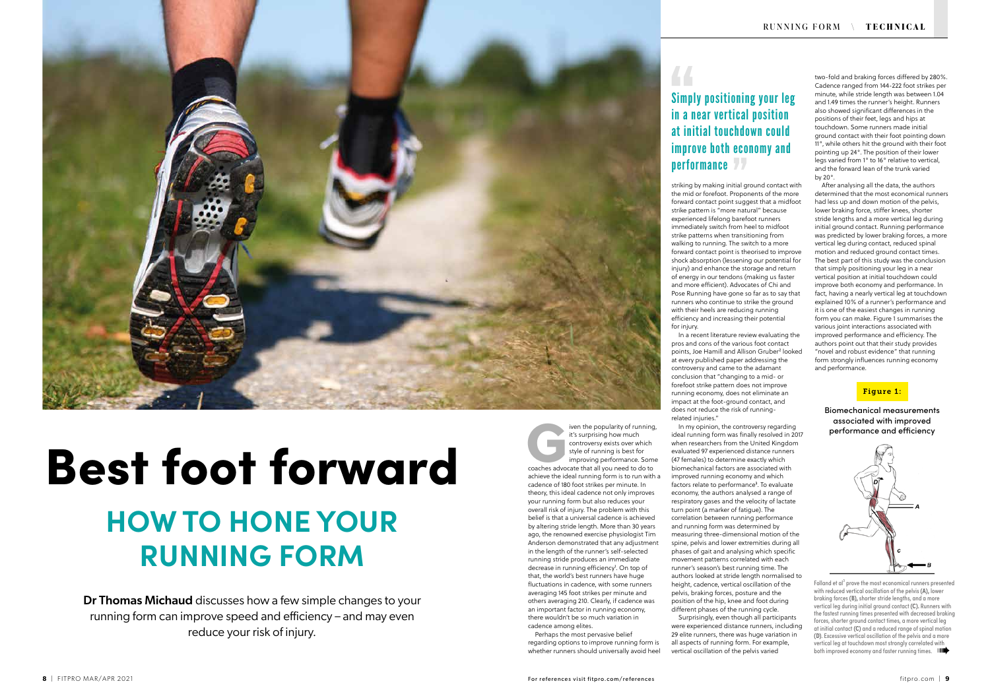### Figure 1:

Biomechanical measurements associated with improved performance and efficiency



Folland et al<sup>3</sup> prove the most economical runners presented with reduced vertical oscillation of the pelvis **(A),** lower braking forces **(B),** shorter stride lengths, and a more vertical leg during initial ground contact **(C).** Runners with the fastest running times presented with decreased braking forces, shorter ground contact times, a more vertical leg at initial contact **(C)** and a reduced range of spinal motion **(D)**. Excessive vertical oscillation of the pelvis and a more vertical leg at touchdown most strongly correlated with both improved economy and faster running times. IIII

Dr Thomas Michaud discusses how a few simple changes to your running form can improve speed and efficiency – and may even reduce your risk of injury.

two-fold and braking forces differed by 280%. Cadence ranged from 144-222 foot strikes per minute, while stride length was between 1.04 and 1.49 times the runner's height. Runners also showed significant differences in the positions of their feet, legs and hips at touchdown. Some runners made initial ground contact with their foot pointing down 11°, while others hit the ground with their foot pointing up 24°. The position of their lower legs varied from 1° to 16° relative to vertical, and the forward lean of the trunk varied by 20°.

After analysing all the data, the authors determined that the most economical runners had less up and down motion of the pelvis, lower braking force, stiffer knees, shorter stride lengths and a more vertical leg during initial ground contact. Running performance was predicted by lower braking forces, a more vertical leg during contact, reduced spinal motion and reduced ground contact times. The best part of this study was the conclusion that simply positioning your leg in a near vertical position at initial touchdown could improve both economy and performance. In fact, having a nearly vertical leg at touchdown explained 10% of a runner's performance and it is one of the easiest changes in running form you can make. Figure 1 summarises the various joint interactions associated with improved performance and efficiency. The authors point out that their study provides "novel and robust evidence" that running form strongly influences running economy and performance.

## Simply positioning your leg in a near vertical position at initial touchdown could improve both economy and performance 77

 $\overline{44}$ 

striking by making initial ground contact with the mid or forefoot. Proponents of the more forward contact point suggest that a midfoot strike pattern is "more natural" because experienced lifelong barefoot runners immediately switch from heel to midfoot strike patterns when transitioning from walking to running. The switch to a more forward contact point is theorised to improve shock absorption (lessening our potential for injury) and enhance the storage and return of energy in our tendons (making us faster and more efficient). Advocates of Chi and Pose Running have gone so far as to say that runners who continue to strike the ground with their heels are reducing running efficiency and increasing their potential for injury.



# Best foot forward **HOW TO HONE YOUR RUNNING FORM**

Figure 1 are popularity of running,<br>
it's surprising how much<br>
controversy exists over which<br>
style of running is best for<br>
improving performance. Some<br>
coaches advocate that all you need to do to it's surprising how much controversy exists over which style of running is best for improving performance. Some achieve the ideal running form is to run with a cadence of 180 foot strikes per minute. In theory, this ideal cadence not only improves your running form but also reduces your overall risk of injury. The problem with this belief is that a universal cadence is achieved by altering stride length. More than 30 years ago, the renowned exercise physiologist Tim Anderson demonstrated that any adjustment in the length of the runner's self-selected running stride produces an immediate decrease in running efficiency<sup>1</sup>. On top of that, the world's best runners have huge fluctuations in cadence, with some runners averaging 145 foot strikes per minute and others averaging 210. Clearly, if cadence was an important factor in running economy, there wouldn't be so much variation in cadence among elites.

Perhaps the most pervasive belief regarding options to improve running form is whether runners should universally avoid heel

In a recent literature review evaluating the pros and cons of the various foot contact points, Joe Hamill and Allison Gruber² looked at every published paper addressing the controversy and came to the adamant conclusion that "changing to a mid- or forefoot strike pattern does not improve running economy, does not eliminate an impact at the foot-ground contact, and does not reduce the risk of runningrelated injuries."

In my opinion, the controversy regarding Surprisingly, even though all participants

ideal running form was finally resolved in 2017 when researchers from the United Kingdom evaluated 97 experienced distance runners (47 females) to determine exactly which biomechanical factors are associated with improved running economy and which factors relate to performance<sup>3</sup>. To evaluate economy, the authors analysed a range of respiratory gases and the velocity of lactate turn point (a marker of fatigue). The correlation between running performance and running form was determined by measuring three-dimensional motion of the spine, pelvis and lower extremities during all phases of gait and analysing which specific movement patterns correlated with each runner's season's best running time. The authors looked at stride length normalised to height, cadence, vertical oscillation of the pelvis, braking forces, posture and the position of the hip, knee and foot during different phases of the running cycle. were experienced distance runners, including 29 elite runners, there was huge variation in all aspects of running form. For example, vertical oscillation of the pelvis varied